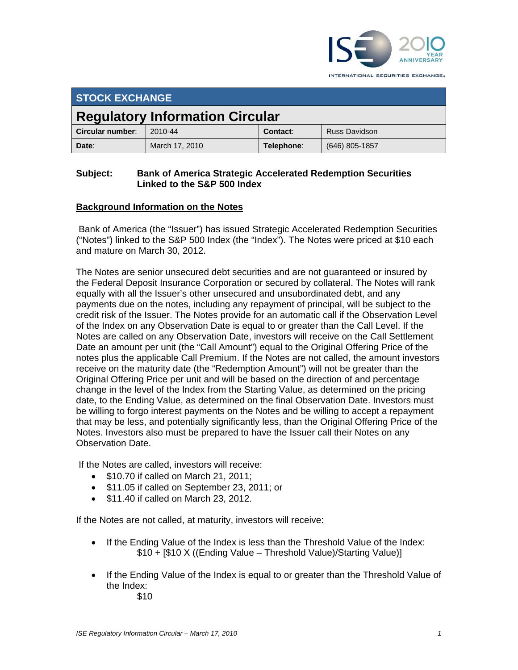

INTERNATIONAL SECURITIES EXCHANGE.

| <b>STOCK EXCHANGE</b>                  |                |            |                      |
|----------------------------------------|----------------|------------|----------------------|
| <b>Regulatory Information Circular</b> |                |            |                      |
| Circular number:                       | 2010-44        | Contact:   | <b>Russ Davidson</b> |
| Date:                                  | March 17, 2010 | Telephone: | $(646)$ 805-1857     |

## **Subject: Bank of America Strategic Accelerated Redemption Securities Linked to the S&P 500 Index**

# **Background Information on the Notes**

 Bank of America (the "Issuer") has issued Strategic Accelerated Redemption Securities ("Notes") linked to the S&P 500 Index (the "Index"). The Notes were priced at \$10 each and mature on March 30, 2012.

The Notes are senior unsecured debt securities and are not guaranteed or insured by the Federal Deposit Insurance Corporation or secured by collateral. The Notes will rank equally with all the Issuer's other unsecured and unsubordinated debt, and any payments due on the notes, including any repayment of principal, will be subject to the credit risk of the Issuer. The Notes provide for an automatic call if the Observation Level of the Index on any Observation Date is equal to or greater than the Call Level. If the Notes are called on any Observation Date, investors will receive on the Call Settlement Date an amount per unit (the "Call Amount") equal to the Original Offering Price of the notes plus the applicable Call Premium. If the Notes are not called, the amount investors receive on the maturity date (the "Redemption Amount") will not be greater than the Original Offering Price per unit and will be based on the direction of and percentage change in the level of the Index from the Starting Value, as determined on the pricing date, to the Ending Value, as determined on the final Observation Date. Investors must be willing to forgo interest payments on the Notes and be willing to accept a repayment that may be less, and potentially significantly less, than the Original Offering Price of the Notes. Investors also must be prepared to have the Issuer call their Notes on any Observation Date.

If the Notes are called, investors will receive:

- $\bullet$  \$10.70 if called on March 21, 2011;
- \$11.05 if called on September 23, 2011; or
- \$11.40 if called on March 23, 2012.

If the Notes are not called, at maturity, investors will receive:

- If the Ending Value of the Index is less than the Threshold Value of the Index: \$10 + [\$10 X ((Ending Value – Threshold Value)/Starting Value)]
- If the Ending Value of the Index is equal to or greater than the Threshold Value of the Index: \$10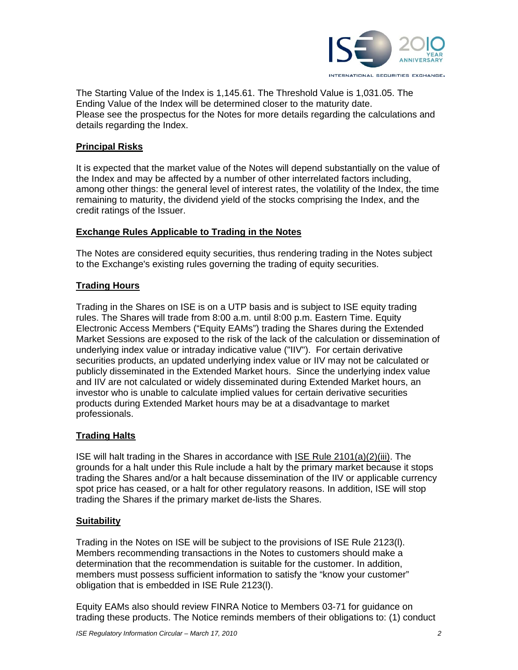

The Starting Value of the Index is 1,145.61. The Threshold Value is 1,031.05. The Ending Value of the Index will be determined closer to the maturity date. Please see the prospectus for the Notes for more details regarding the calculations and details regarding the Index.

## **Principal Risks**

It is expected that the market value of the Notes will depend substantially on the value of the Index and may be affected by a number of other interrelated factors including, among other things: the general level of interest rates, the volatility of the Index, the time remaining to maturity, the dividend yield of the stocks comprising the Index, and the credit ratings of the Issuer.

#### **Exchange Rules Applicable to Trading in the Notes**

The Notes are considered equity securities, thus rendering trading in the Notes subject to the Exchange's existing rules governing the trading of equity securities.

#### **Trading Hours**

Trading in the Shares on ISE is on a UTP basis and is subject to ISE equity trading rules. The Shares will trade from 8:00 a.m. until 8:00 p.m. Eastern Time. Equity Electronic Access Members ("Equity EAMs") trading the Shares during the Extended Market Sessions are exposed to the risk of the lack of the calculation or dissemination of underlying index value or intraday indicative value ("IIV"). For certain derivative securities products, an updated underlying index value or IIV may not be calculated or publicly disseminated in the Extended Market hours. Since the underlying index value and IIV are not calculated or widely disseminated during Extended Market hours, an investor who is unable to calculate implied values for certain derivative securities products during Extended Market hours may be at a disadvantage to market professionals.

## **Trading Halts**

ISE will halt trading in the Shares in accordance with ISE Rule 2101(a)(2)(iii). The grounds for a halt under this Rule include a halt by the primary market because it stops trading the Shares and/or a halt because dissemination of the IIV or applicable currency spot price has ceased, or a halt for other regulatory reasons. In addition, ISE will stop trading the Shares if the primary market de-lists the Shares.

#### **Suitability**

Trading in the Notes on ISE will be subject to the provisions of ISE Rule 2123(l). Members recommending transactions in the Notes to customers should make a determination that the recommendation is suitable for the customer. In addition, members must possess sufficient information to satisfy the "know your customer" obligation that is embedded in ISE Rule 2123(l).

Equity EAMs also should review FINRA Notice to Members 03-71 for guidance on trading these products. The Notice reminds members of their obligations to: (1) conduct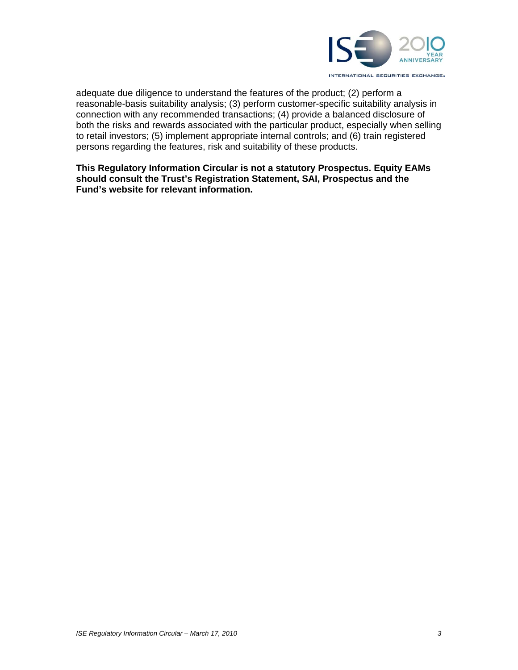

adequate due diligence to understand the features of the product; (2) perform a reasonable-basis suitability analysis; (3) perform customer-specific suitability analysis in connection with any recommended transactions; (4) provide a balanced disclosure of both the risks and rewards associated with the particular product, especially when selling to retail investors; (5) implement appropriate internal controls; and (6) train registered persons regarding the features, risk and suitability of these products.

**This Regulatory Information Circular is not a statutory Prospectus. Equity EAMs should consult the Trust's Registration Statement, SAI, Prospectus and the Fund's website for relevant information.**